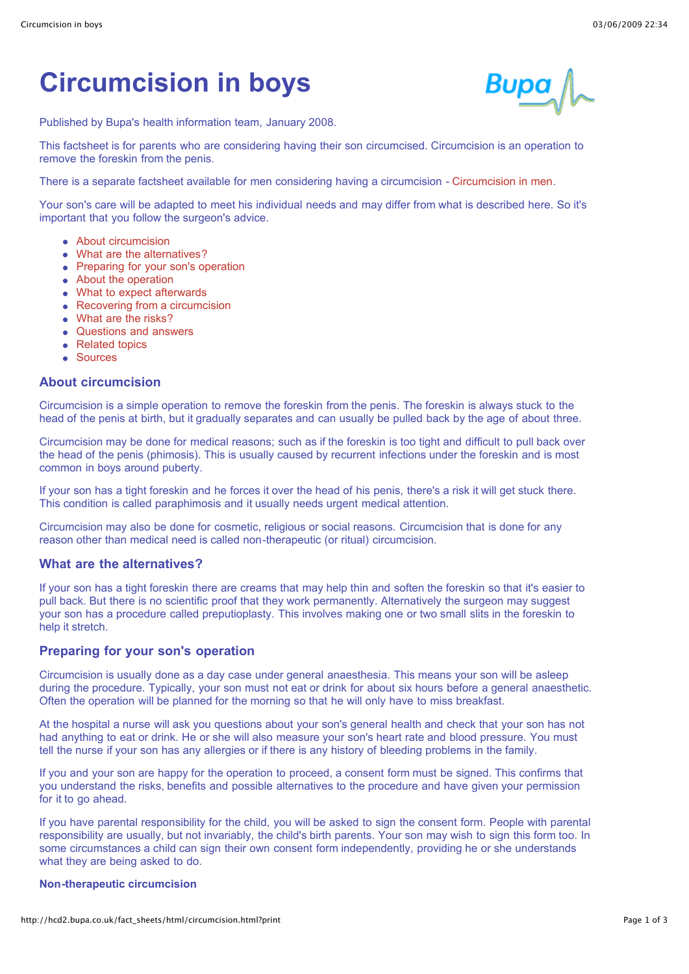# **Circumcision in boys**

Published by Bupa's health information team, January 2008.

This factsheet is for parents who are considering having their son circumcised. Circumcision is an operation to remove the foreskin from the penis.

There is a separate factsheet available for men considering having a circumcision - [Circumcision in men](http://hcd2.bupa.co.uk/fact_sheets/html/circumcision_in_men.html).

Your son's care will be adapted to meet his individual needs and may differ from what is described here. So it's important that you follow the surgeon's advice.

- [About circumcision](http://hcd2.bupa.co.uk/fact_sheets/html/circumcision.html?print#1)
- [What are the alternatives?](http://hcd2.bupa.co.uk/fact_sheets/html/circumcision.html?print#2)
- [Preparing for your son's operation](http://hcd2.bupa.co.uk/fact_sheets/html/circumcision.html?print#3)
- [About the operation](http://hcd2.bupa.co.uk/fact_sheets/html/circumcision.html?print#4)
- [What to expect afterwards](http://hcd2.bupa.co.uk/fact_sheets/html/circumcision.html?print#5)
- [Recovering from a circumcision](http://hcd2.bupa.co.uk/fact_sheets/html/circumcision.html?print#6)
- [What are the risks?](http://hcd2.bupa.co.uk/fact_sheets/html/circumcision.html?print#7)
- [Questions and answers](http://hcd2.bupa.co.uk/fact_sheets/html/circumcision.html?print#8)
- [Related topics](http://hcd2.bupa.co.uk/fact_sheets/html/circumcision.html?print#9)
- [Sources](http://hcd2.bupa.co.uk/fact_sheets/html/circumcision.html?print#10)

## **About circumcision**

Circumcision is a simple operation to remove the foreskin from the penis. The foreskin is always stuck to the head of the penis at birth, but it gradually separates and can usually be pulled back by the age of about three.

Circumcision may be done for medical reasons; such as if the foreskin is too tight and difficult to pull back over the head of the penis (phimosis). This is usually caused by recurrent infections under the foreskin and is most common in boys around puberty.

If your son has a tight foreskin and he forces it over the head of his penis, there's a risk it will get stuck there. This condition is called paraphimosis and it usually needs urgent medical attention.

Circumcision may also be done for cosmetic, religious or social reasons. Circumcision that is done for any reason other than medical need is called non-therapeutic (or ritual) circumcision.

# **What are the alternatives?**

If your son has a tight foreskin there are creams that may help thin and soften the foreskin so that it's easier to pull back. But there is no scientific proof that they work permanently. Alternatively the surgeon may suggest your son has a procedure called preputioplasty. This involves making one or two small slits in the foreskin to help it stretch.

# **Preparing for your son's operation**

Circumcision is usually done as a day case under general anaesthesia. This means your son will be asleep during the procedure. Typically, your son must not eat or drink for about six hours before a general anaesthetic. Often the operation will be planned for the morning so that he will only have to miss breakfast.

At the hospital a nurse will ask you questions about your son's general health and check that your son has not had anything to eat or drink. He or she will also measure your son's heart rate and blood pressure. You must tell the nurse if your son has any allergies or if there is any history of bleeding problems in the family.

If you and your son are happy for the operation to proceed, a consent form must be signed. This confirms that you understand the risks, benefits and possible alternatives to the procedure and have given your permission for it to go ahead.

If you have parental responsibility for the child, you will be asked to sign the consent form. People with parental responsibility are usually, but not invariably, the child's birth parents. Your son may wish to sign this form too. In some circumstances a child can sign their own consent form independently, providing he or she understands what they are being asked to do.

#### **Non-therapeutic circumcision**

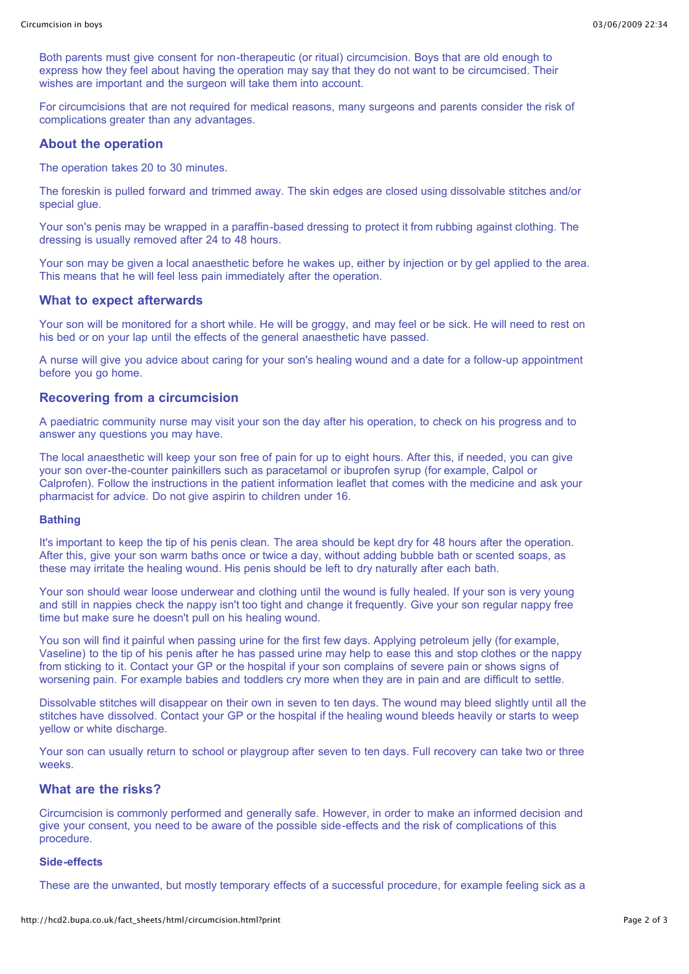Both parents must give consent for non-therapeutic (or ritual) circumcision. Boys that are old enough to express how they feel about having the operation may say that they do not want to be circumcised. Their wishes are important and the surgeon will take them into account.

For circumcisions that are not required for medical reasons, many surgeons and parents consider the risk of complications greater than any advantages.

#### **About the operation**

The operation takes 20 to 30 minutes.

The foreskin is pulled forward and trimmed away. The skin edges are closed using dissolvable stitches and/or special glue.

Your son's penis may be wrapped in a paraffin-based dressing to protect it from rubbing against clothing. The dressing is usually removed after 24 to 48 hours.

Your son may be given a local anaesthetic before he wakes up, either by injection or by gel applied to the area. This means that he will feel less pain immediately after the operation.

#### **What to expect afterwards**

Your son will be monitored for a short while. He will be groggy, and may feel or be sick. He will need to rest on his bed or on your lap until the effects of the general anaesthetic have passed.

A nurse will give you advice about caring for your son's healing wound and a date for a follow-up appointment before you go home.

# **Recovering from a circumcision**

A paediatric community nurse may visit your son the day after his operation, to check on his progress and to answer any questions you may have.

The local anaesthetic will keep your son free of pain for up to eight hours. After this, if needed, you can give your son over-the-counter painkillers such as paracetamol or ibuprofen syrup (for example, Calpol or Calprofen). Follow the instructions in the patient information leaflet that comes with the medicine and ask your pharmacist for advice. Do not give aspirin to children under 16.

#### **Bathing**

It's important to keep the tip of his penis clean. The area should be kept dry for 48 hours after the operation. After this, give your son warm baths once or twice a day, without adding bubble bath or scented soaps, as these may irritate the healing wound. His penis should be left to dry naturally after each bath.

Your son should wear loose underwear and clothing until the wound is fully healed. If your son is very young and still in nappies check the nappy isn't too tight and change it frequently. Give your son regular nappy free time but make sure he doesn't pull on his healing wound.

You son will find it painful when passing urine for the first few days. Applying petroleum jelly (for example, Vaseline) to the tip of his penis after he has passed urine may help to ease this and stop clothes or the nappy from sticking to it. Contact your GP or the hospital if your son complains of severe pain or shows signs of worsening pain. For example babies and toddlers cry more when they are in pain and are difficult to settle.

Dissolvable stitches will disappear on their own in seven to ten days. The wound may bleed slightly until all the stitches have dissolved. Contact your GP or the hospital if the healing wound bleeds heavily or starts to weep yellow or white discharge.

Your son can usually return to school or playgroup after seven to ten days. Full recovery can take two or three weeks.

# **What are the risks?**

Circumcision is commonly performed and generally safe. However, in order to make an informed decision and give your consent, you need to be aware of the possible side-effects and the risk of complications of this procedure.

#### **Side-effects**

These are the unwanted, but mostly temporary effects of a successful procedure, for example feeling sick as a